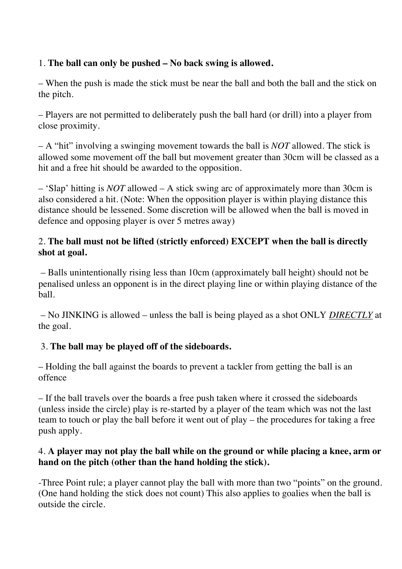# 1. **The ball can only be pushed – No back swing is allowed.**

– When the push is made the stick must be near the ball and both the ball and the stick on the pitch.

– Players are not permitted to deliberately push the ball hard (or drill) into a player from close proximity.

– A "hit" involving a swinging movement towards the ball is *NOT* allowed. The stick is allowed some movement off the ball but movement greater than 30cm will be classed as a hit and a free hit should be awarded to the opposition.

– 'Slap' hitting is *NOT* allowed – A stick swing arc of approximately more than 30cm is also considered a hit. (Note: When the opposition player is within playing distance this distance should be lessened. Some discretion will be allowed when the ball is moved in defence and opposing player is over 5 metres away)

## 2. **The ball must not be lifted (strictly enforced) EXCEPT when the ball is directly shot at goal.**

– Balls unintentionally rising less than 10cm (approximately ball height) should not be penalised unless an opponent is in the direct playing line or within playing distance of the ball.

– No JINKING is allowed – unless the ball is being played as a shot ONLY *DIRECTLY* at the goal.

## 3. **The ball may be played off of the sideboards.**

– Holding the ball against the boards to prevent a tackler from getting the ball is an offence

– If the ball travels over the boards a free push taken where it crossed the sideboards (unless inside the circle) play is re-started by a player of the team which was not the last team to touch or play the ball before it went out of play – the procedures for taking a free push apply.

## 4. **A player may not play the ball while on the ground or while placing a knee, arm or hand on the pitch (other than the hand holding the stick).**

-Three Point rule; a player cannot play the ball with more than two "points" on the ground. (One hand holding the stick does not count) This also applies to goalies when the ball is outside the circle.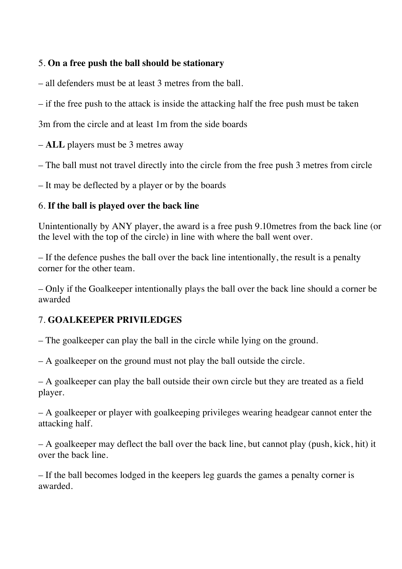### 5. **On a free push the ball should be stationary**

– all defenders must be at least 3 metres from the ball.

– if the free push to the attack is inside the attacking half the free push must be taken

3m from the circle and at least 1m from the side boards

– **ALL** players must be 3 metres away

– The ball must not travel directly into the circle from the free push 3 metres from circle

– It may be deflected by a player or by the boards

## 6. **If the ball is played over the back line**

Unintentionally by ANY player, the award is a free push 9.10metres from the back line (or the level with the top of the circle) in line with where the ball went over.

– If the defence pushes the ball over the back line intentionally, the result is a penalty corner for the other team.

– Only if the Goalkeeper intentionally plays the ball over the back line should a corner be awarded

# 7. **GOALKEEPER PRIVILEDGES**

– The goalkeeper can play the ball in the circle while lying on the ground.

– A goalkeeper on the ground must not play the ball outside the circle.

– A goalkeeper can play the ball outside their own circle but they are treated as a field player.

– A goalkeeper or player with goalkeeping privileges wearing headgear cannot enter the attacking half.

– A goalkeeper may deflect the ball over the back line, but cannot play (push, kick, hit) it over the back line.

– If the ball becomes lodged in the keepers leg guards the games a penalty corner is awarded.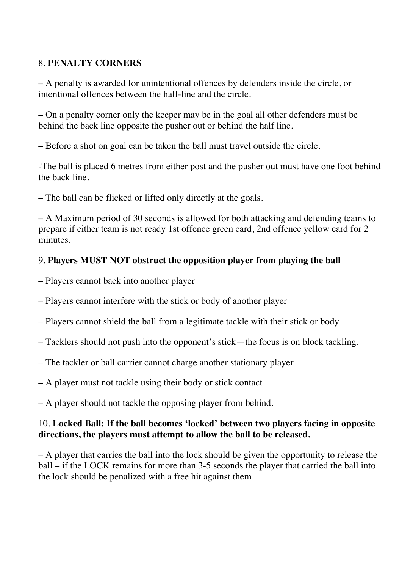## 8. **PENALTY CORNERS**

– A penalty is awarded for unintentional offences by defenders inside the circle, or intentional offences between the half-line and the circle.

– On a penalty corner only the keeper may be in the goal all other defenders must be behind the back line opposite the pusher out or behind the half line.

– Before a shot on goal can be taken the ball must travel outside the circle.

-The ball is placed 6 metres from either post and the pusher out must have one foot behind the back line.

– The ball can be flicked or lifted only directly at the goals.

– A Maximum period of 30 seconds is allowed for both attacking and defending teams to prepare if either team is not ready 1st offence green card, 2nd offence yellow card for 2 minutes.

### 9. **Players MUST NOT obstruct the opposition player from playing the ball**

- Players cannot back into another player
- Players cannot interfere with the stick or body of another player
- Players cannot shield the ball from a legitimate tackle with their stick or body
- Tacklers should not push into the opponent's stick—the focus is on block tackling.
- The tackler or ball carrier cannot charge another stationary player
- A player must not tackle using their body or stick contact

– A player should not tackle the opposing player from behind.

### 10. **Locked Ball: If the ball becomes 'locked' between two players facing in opposite directions, the players must attempt to allow the ball to be released.**

– A player that carries the ball into the lock should be given the opportunity to release the ball – if the LOCK remains for more than 3-5 seconds the player that carried the ball into the lock should be penalized with a free hit against them.